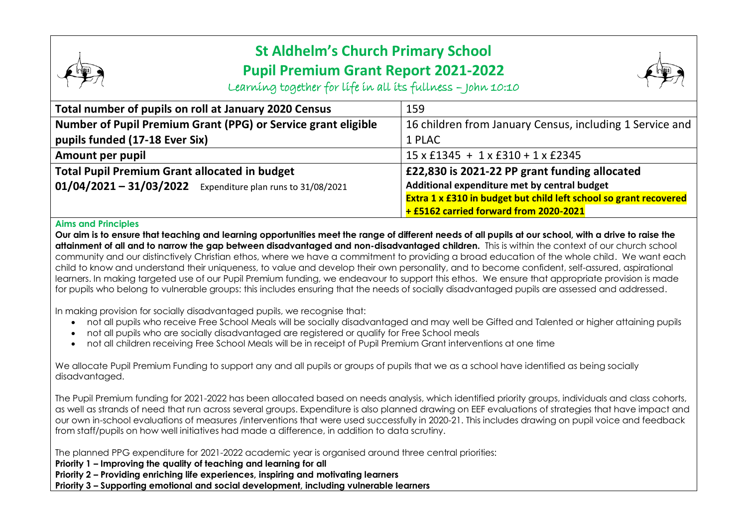## **St Aldhelm's Church Primary School Pupil Premium Grant Report 2021-2022**



Learning together for life in all its fullness – John 10:10

| Total number of pupils on roll at January 2020 Census         | 159                                                               |
|---------------------------------------------------------------|-------------------------------------------------------------------|
| Number of Pupil Premium Grant (PPG) or Service grant eligible | 16 children from January Census, including 1 Service and          |
| pupils funded (17-18 Ever Six)                                | 1 PLAC                                                            |
| Amount per pupil                                              | $15 \times$ £1345 + 1 x £310 + 1 x £2345                          |
| <b>Total Pupil Premium Grant allocated in budget</b>          | £22,830 is 2021-22 PP grant funding allocated                     |
| $01/04/2021 - 31/03/2022$ Expenditure plan runs to 31/08/2021 | Additional expenditure met by central budget                      |
|                                                               | Extra 1 x £310 in budget but child left school so grant recovered |
|                                                               | + £5162 carried forward from 2020-2021                            |

## **Aims and Principles**

**Our aim is to ensure that teaching and learning opportunities meet the range of different needs of all pupils at our school, with a drive to raise the attainment of all and to narrow the gap between disadvantaged and non-disadvantaged children.** This is within the context of our church school community and our distinctively Christian ethos, where we have a commitment to providing a broad education of the whole child. We want each child to know and understand their uniqueness, to value and develop their own personality, and to become confident, self-assured, aspirational learners. In making targeted use of our Pupil Premium funding, we endeavour to support this ethos. We ensure that appropriate provision is made for pupils who belong to vulnerable groups: this includes ensuring that the needs of socially disadvantaged pupils are assessed and addressed.

In making provision for socially disadvantaged pupils, we recognise that:

- not all pupils who receive Free School Meals will be socially disadvantaged and may well be Gifted and Talented or higher attaining pupils
- not all pupils who are socially disadvantaged are registered or qualify for Free School meals
- not all children receiving Free School Meals will be in receipt of Pupil Premium Grant interventions at one time

We allocate Pupil Premium Funding to support any and all pupils or groups of pupils that we as a school have identified as being socially disadvantaged.

The Pupil Premium funding for 2021-2022 has been allocated based on needs analysis, which identified priority groups, individuals and class cohorts, as well as strands of need that run across several groups. Expenditure is also planned drawing on EEF evaluations of strategies that have impact and our own in-school evaluations of measures /interventions that were used successfully in 2020-21. This includes drawing on pupil voice and feedback from staff/pupils on how well initiatives had made a difference, in addition to data scrutiny.

The planned PPG expenditure for 2021-2022 academic year is organised around three central priorities:

**Priority 1 – Improving the quality of teaching and learning for all**

**Priority 2 – Providing enriching life experiences, inspiring and motivating learners**

**Priority 3 – Supporting emotional and social development, including vulnerable learners**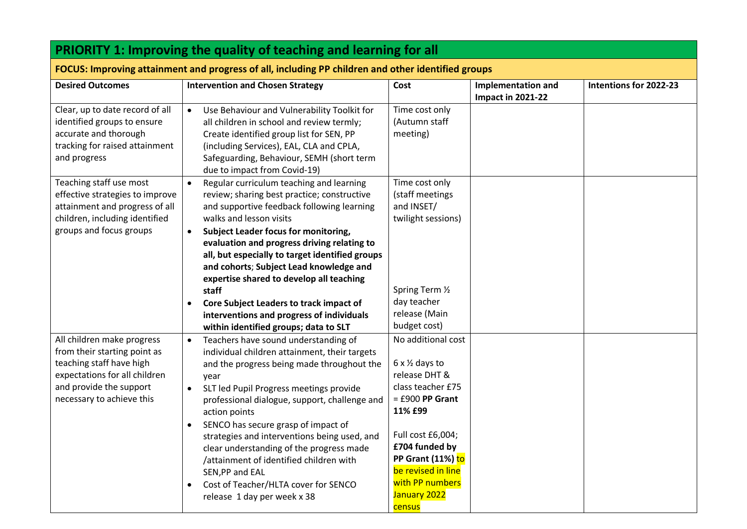| <b>PRIORITY 1: Improving the quality of teaching and learning for all</b>                                                                                                       |                                                                                                                                                                                                                                                                                                                                                                                                                                                                                                                                                            |                                                                                                                                                                                                                                                           |                                                       |                        |
|---------------------------------------------------------------------------------------------------------------------------------------------------------------------------------|------------------------------------------------------------------------------------------------------------------------------------------------------------------------------------------------------------------------------------------------------------------------------------------------------------------------------------------------------------------------------------------------------------------------------------------------------------------------------------------------------------------------------------------------------------|-----------------------------------------------------------------------------------------------------------------------------------------------------------------------------------------------------------------------------------------------------------|-------------------------------------------------------|------------------------|
| FOCUS: Improving attainment and progress of all, including PP children and other identified groups                                                                              |                                                                                                                                                                                                                                                                                                                                                                                                                                                                                                                                                            |                                                                                                                                                                                                                                                           |                                                       |                        |
| <b>Desired Outcomes</b>                                                                                                                                                         | <b>Intervention and Chosen Strategy</b>                                                                                                                                                                                                                                                                                                                                                                                                                                                                                                                    | Cost                                                                                                                                                                                                                                                      | <b>Implementation and</b><br><b>Impact in 2021-22</b> | Intentions for 2022-23 |
| Clear, up to date record of all<br>identified groups to ensure<br>accurate and thorough<br>tracking for raised attainment<br>and progress                                       | Use Behaviour and Vulnerability Toolkit for<br>$\bullet$<br>all children in school and review termly;<br>Create identified group list for SEN, PP<br>(including Services), EAL, CLA and CPLA,<br>Safeguarding, Behaviour, SEMH (short term<br>due to impact from Covid-19)                                                                                                                                                                                                                                                                                 | Time cost only<br>(Autumn staff<br>meeting)                                                                                                                                                                                                               |                                                       |                        |
| Teaching staff use most<br>effective strategies to improve<br>attainment and progress of all<br>children, including identified<br>groups and focus groups                       | Regular curriculum teaching and learning<br>$\bullet$<br>review; sharing best practice; constructive<br>and supportive feedback following learning<br>walks and lesson visits<br><b>Subject Leader focus for monitoring,</b><br>$\bullet$<br>evaluation and progress driving relating to<br>all, but especially to target identified groups<br>and cohorts; Subject Lead knowledge and<br>expertise shared to develop all teaching                                                                                                                         | Time cost only<br>(staff meetings<br>and INSET/<br>twilight sessions)                                                                                                                                                                                     |                                                       |                        |
|                                                                                                                                                                                 | staff<br>Core Subject Leaders to track impact of<br>interventions and progress of individuals<br>within identified groups; data to SLT                                                                                                                                                                                                                                                                                                                                                                                                                     | Spring Term 1/2<br>day teacher<br>release (Main<br>budget cost)                                                                                                                                                                                           |                                                       |                        |
| All children make progress<br>from their starting point as<br>teaching staff have high<br>expectations for all children<br>and provide the support<br>necessary to achieve this | Teachers have sound understanding of<br>$\bullet$<br>individual children attainment, their targets<br>and the progress being made throughout the<br>year<br>SLT led Pupil Progress meetings provide<br>$\bullet$<br>professional dialogue, support, challenge and<br>action points<br>SENCO has secure grasp of impact of<br>strategies and interventions being used, and<br>clear understanding of the progress made<br>/attainment of identified children with<br>SEN, PP and EAL<br>Cost of Teacher/HLTA cover for SENCO<br>release 1 day per week x 38 | No additional cost<br>$6 \times \frac{1}{2}$ days to<br>release DHT &<br>class teacher £75<br>$=$ £900 PP Grant<br>11% £99<br>Full cost £6,004;<br>£704 funded by<br>PP Grant (11%) to<br>be revised in line<br>with PP numbers<br>January 2022<br>census |                                                       |                        |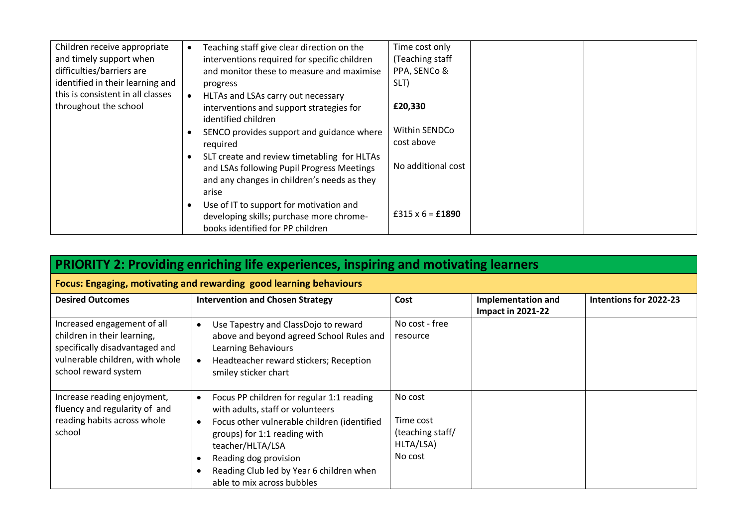| Children receive appropriate      | Teaching staff give clear direction on the                                                                              | Time cost only     |
|-----------------------------------|-------------------------------------------------------------------------------------------------------------------------|--------------------|
| and timely support when           | interventions required for specific children                                                                            | (Teaching staff    |
| difficulties/barriers are         | and monitor these to measure and maximise                                                                               | PPA, SENCo &       |
| identified in their learning and  | progress                                                                                                                | SLT)               |
| this is consistent in all classes | HLTAs and LSAs carry out necessary                                                                                      |                    |
| throughout the school             | interventions and support strategies for                                                                                | £20,330            |
|                                   | identified children                                                                                                     |                    |
|                                   | SENCO provides support and guidance where                                                                               | Within SENDCo      |
|                                   | required                                                                                                                | cost above         |
|                                   | SLT create and review timetabling for HLTAs<br>and LSAs following Pupil Progress Meetings                               | No additional cost |
|                                   | and any changes in children's needs as they<br>arise                                                                    |                    |
|                                   | Use of IT to support for motivation and<br>developing skills; purchase more chrome-<br>books identified for PP children | £315 x 6 = £1890   |

| <b>PRIORITY 2: Providing enriching life experiences, inspiring and motivating learners</b>                                                              |                                                                                                                                                                                                                                                                                                  |                                                                  |                                                       |                        |
|---------------------------------------------------------------------------------------------------------------------------------------------------------|--------------------------------------------------------------------------------------------------------------------------------------------------------------------------------------------------------------------------------------------------------------------------------------------------|------------------------------------------------------------------|-------------------------------------------------------|------------------------|
| Focus: Engaging, motivating and rewarding good learning behaviours                                                                                      |                                                                                                                                                                                                                                                                                                  |                                                                  |                                                       |                        |
| <b>Desired Outcomes</b>                                                                                                                                 | <b>Intervention and Chosen Strategy</b>                                                                                                                                                                                                                                                          | Cost                                                             | <b>Implementation and</b><br><b>Impact in 2021-22</b> | Intentions for 2022-23 |
| Increased engagement of all<br>children in their learning,<br>specifically disadvantaged and<br>vulnerable children, with whole<br>school reward system | Use Tapestry and ClassDojo to reward<br>$\bullet$<br>above and beyond agreed School Rules and<br>Learning Behaviours<br>Headteacher reward stickers; Reception<br>smiley sticker chart                                                                                                           | No cost - free<br>resource                                       |                                                       |                        |
| Increase reading enjoyment,<br>fluency and regularity of and<br>reading habits across whole<br>school                                                   | Focus PP children for regular 1:1 reading<br>$\bullet$<br>with adults, staff or volunteers<br>Focus other vulnerable children (identified<br>groups) for 1:1 reading with<br>teacher/HLTA/LSA<br>Reading dog provision<br>Reading Club led by Year 6 children when<br>able to mix across bubbles | No cost<br>Time cost<br>(teaching staff/<br>HLTA/LSA)<br>No cost |                                                       |                        |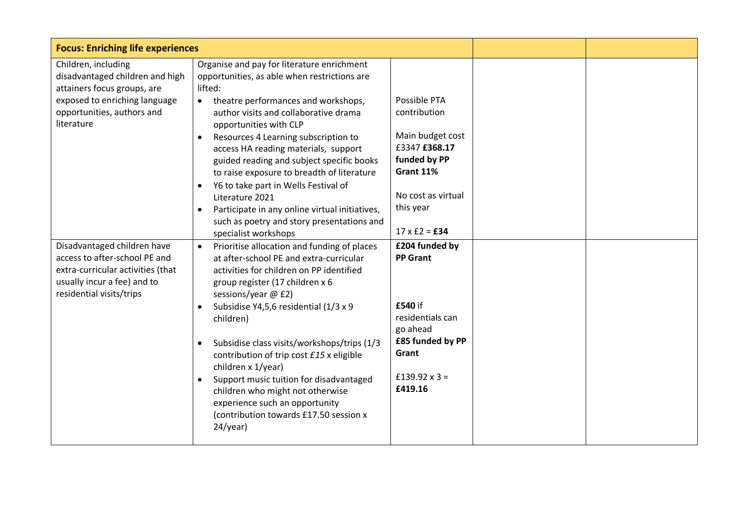| <b>Focus: Enriching life experiences</b>                                                                                                                           |                                                                                                                                                                                                                                                                                                                                                                                                                                                                                                                                                                                                              |                                                                                                                                                           |  |
|--------------------------------------------------------------------------------------------------------------------------------------------------------------------|--------------------------------------------------------------------------------------------------------------------------------------------------------------------------------------------------------------------------------------------------------------------------------------------------------------------------------------------------------------------------------------------------------------------------------------------------------------------------------------------------------------------------------------------------------------------------------------------------------------|-----------------------------------------------------------------------------------------------------------------------------------------------------------|--|
| Children, including<br>disadvantaged children and high<br>attainers focus groups, are<br>exposed to enriching language<br>opportunities, authors and<br>literature | Organise and pay for literature enrichment<br>opportunities, as able when restrictions are<br>lifted:<br>theatre performances and workshops,<br>$\bullet$<br>author visits and collaborative drama<br>opportunities with CLP<br>Resources 4 Learning subscription to<br>$\bullet$<br>access HA reading materials, support<br>guided reading and subject specific books<br>to raise exposure to breadth of literature<br>Y6 to take part in Wells Festival of<br>$\bullet$<br>Literature 2021<br>Participate in any online virtual initiatives,<br>$\bullet$<br>such as poetry and story presentations and    | Possible PTA<br>contribution<br>Main budget cost<br>£3347 £368.17<br>funded by PP<br>Grant 11%<br>No cost as virtual<br>this year<br>$17 \times £2 = £34$ |  |
| Disadvantaged children have<br>access to after-school PE and<br>extra-curricular activities (that<br>usually incur a fee) and to<br>residential visits/trips       | specialist workshops<br>Prioritise allocation and funding of places<br>at after-school PE and extra-curricular<br>activities for children on PP identified<br>group register (17 children x 6<br>sessions/year @ £2)<br>Subsidise Y4,5,6 residential (1/3 x 9<br>$\bullet$<br>children)<br>Subsidise class visits/workshops/trips (1/3<br>$\bullet$<br>contribution of trip cost £15 x eligible<br>children x 1/year)<br>Support music tuition for disadvantaged<br>$\bullet$<br>children who might not otherwise<br>experience such an opportunity<br>(contribution towards £17.50 session x<br>$24$ /year) | £204 funded by<br><b>PP Grant</b><br>£540 if<br>residentials can<br>go ahead<br>£85 funded by PP<br>Grant<br>£139.92 $\times$ 3 =<br>£419.16              |  |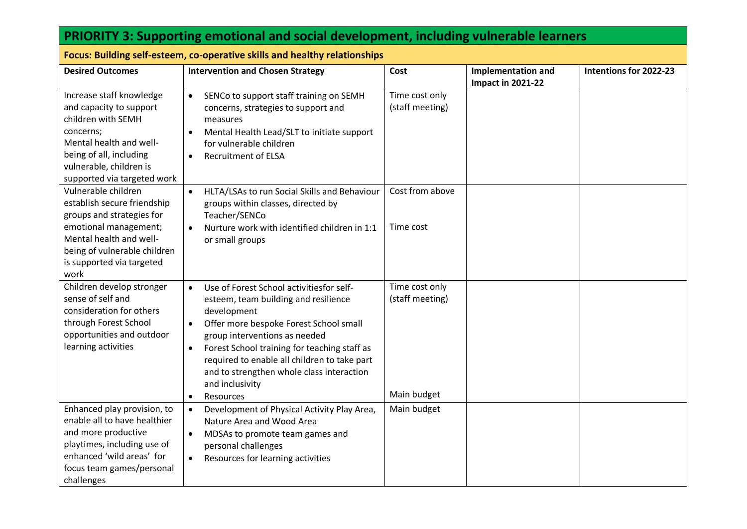| <b>PRIORITY 3: Supporting emotional and social development, including vulnerable learners</b>                                                                                                            |                                                                                                                                                                                                                                                                                                                                                                                                                                                                         |                                                                 |                                                       |                        |
|----------------------------------------------------------------------------------------------------------------------------------------------------------------------------------------------------------|-------------------------------------------------------------------------------------------------------------------------------------------------------------------------------------------------------------------------------------------------------------------------------------------------------------------------------------------------------------------------------------------------------------------------------------------------------------------------|-----------------------------------------------------------------|-------------------------------------------------------|------------------------|
| Focus: Building self-esteem, co-operative skills and healthy relationships                                                                                                                               |                                                                                                                                                                                                                                                                                                                                                                                                                                                                         |                                                                 |                                                       |                        |
| <b>Desired Outcomes</b>                                                                                                                                                                                  | <b>Intervention and Chosen Strategy</b>                                                                                                                                                                                                                                                                                                                                                                                                                                 | Cost                                                            | <b>Implementation and</b><br><b>Impact in 2021-22</b> | Intentions for 2022-23 |
| Increase staff knowledge<br>and capacity to support<br>children with SEMH<br>concerns;<br>Mental health and well-<br>being of all, including<br>vulnerable, children is<br>supported via targeted work   | SENCo to support staff training on SEMH<br>$\bullet$<br>concerns, strategies to support and<br>measures<br>Mental Health Lead/SLT to initiate support<br>$\bullet$<br>for vulnerable children<br><b>Recruitment of ELSA</b><br>$\bullet$                                                                                                                                                                                                                                | Time cost only<br>(staff meeting)                               |                                                       |                        |
| Vulnerable children<br>establish secure friendship<br>groups and strategies for<br>emotional management;<br>Mental health and well-<br>being of vulnerable children<br>is supported via targeted<br>work | HLTA/LSAs to run Social Skills and Behaviour<br>$\bullet$<br>groups within classes, directed by<br>Teacher/SENCo<br>Nurture work with identified children in 1:1<br>$\bullet$<br>or small groups                                                                                                                                                                                                                                                                        | Cost from above<br>Time cost                                    |                                                       |                        |
| Children develop stronger<br>sense of self and<br>consideration for others<br>through Forest School<br>opportunities and outdoor<br>learning activities<br>Enhanced play provision, to                   | Use of Forest School activitiesfor self-<br>$\bullet$<br>esteem, team building and resilience<br>development<br>Offer more bespoke Forest School small<br>$\bullet$<br>group interventions as needed<br>Forest School training for teaching staff as<br>$\bullet$<br>required to enable all children to take part<br>and to strengthen whole class interaction<br>and inclusivity<br>Resources<br>$\bullet$<br>Development of Physical Activity Play Area,<br>$\bullet$ | Time cost only<br>(staff meeting)<br>Main budget<br>Main budget |                                                       |                        |
| enable all to have healthier<br>and more productive<br>playtimes, including use of<br>enhanced 'wild areas' for<br>focus team games/personal<br>challenges                                               | Nature Area and Wood Area<br>MDSAs to promote team games and<br>$\bullet$<br>personal challenges<br>Resources for learning activities<br>$\bullet$                                                                                                                                                                                                                                                                                                                      |                                                                 |                                                       |                        |